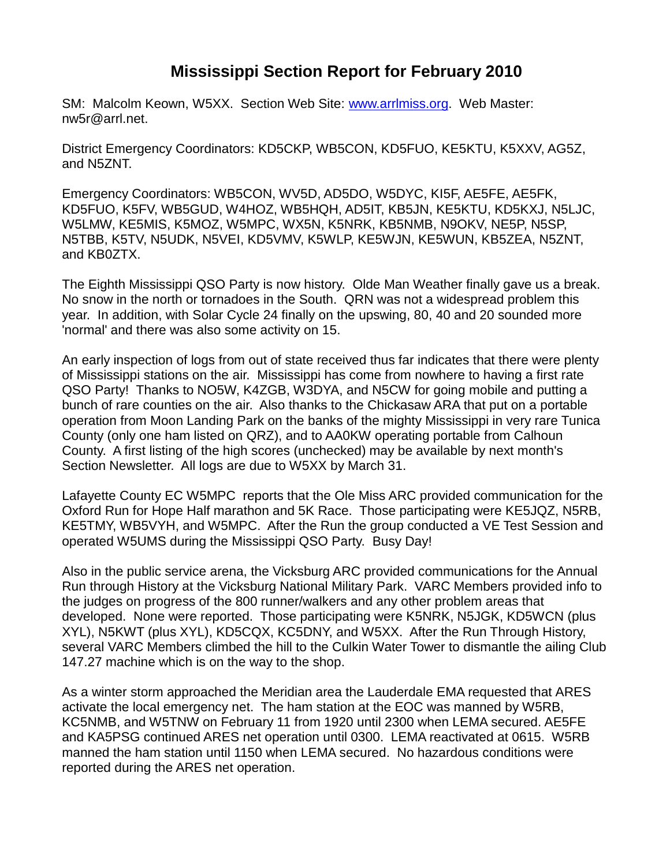## **Mississippi Section Report for February 2010**

SM: Malcolm Keown, W5XX. Section Web Site: [www.arrlmiss.org.](http://www.arrlmiss.org/) Web Master: nw5r@arrl.net.

District Emergency Coordinators: KD5CKP, WB5CON, KD5FUO, KE5KTU, K5XXV, AG5Z, and N5ZNT.

Emergency Coordinators: WB5CON, WV5D, AD5DO, W5DYC, KI5F, AE5FE, AE5FK, KD5FUO, K5FV, WB5GUD, W4HOZ, WB5HQH, AD5IT, KB5JN, KE5KTU, KD5KXJ, N5LJC, W5LMW, KE5MIS, K5MOZ, W5MPC, WX5N, K5NRK, KB5NMB, N9OKV, NE5P, N5SP, N5TBB, K5TV, N5UDK, N5VEI, KD5VMV, K5WLP, KE5WJN, KE5WUN, KB5ZEA, N5ZNT, and KB0ZTX.

The Eighth Mississippi QSO Party is now history. Olde Man Weather finally gave us a break. No snow in the north or tornadoes in the South. QRN was not a widespread problem this year. In addition, with Solar Cycle 24 finally on the upswing, 80, 40 and 20 sounded more 'normal' and there was also some activity on 15.

An early inspection of logs from out of state received thus far indicates that there were plenty of Mississippi stations on the air. Mississippi has come from nowhere to having a first rate QSO Party! Thanks to NO5W, K4ZGB, W3DYA, and N5CW for going mobile and putting a bunch of rare counties on the air. Also thanks to the Chickasaw ARA that put on a portable operation from Moon Landing Park on the banks of the mighty Mississippi in very rare Tunica County (only one ham listed on QRZ), and to AA0KW operating portable from Calhoun County. A first listing of the high scores (unchecked) may be available by next month's Section Newsletter. All logs are due to W5XX by March 31.

Lafayette County EC W5MPC reports that the Ole Miss ARC provided communication for the Oxford Run for Hope Half marathon and 5K Race. Those participating were KE5JQZ, N5RB, KE5TMY, WB5VYH, and W5MPC. After the Run the group conducted a VE Test Session and operated W5UMS during the Mississippi QSO Party. Busy Day!

Also in the public service arena, the Vicksburg ARC provided communications for the Annual Run through History at the Vicksburg National Military Park. VARC Members provided info to the judges on progress of the 800 runner/walkers and any other problem areas that developed. None were reported. Those participating were K5NRK, N5JGK, KD5WCN (plus XYL), N5KWT (plus XYL), KD5CQX, KC5DNY, and W5XX. After the Run Through History, several VARC Members climbed the hill to the Culkin Water Tower to dismantle the ailing Club 147.27 machine which is on the way to the shop.

As a winter storm approached the Meridian area the Lauderdale EMA requested that ARES activate the local emergency net. The ham station at the EOC was manned by W5RB, KC5NMB, and W5TNW on February 11 from 1920 until 2300 when LEMA secured. AE5FE and KA5PSG continued ARES net operation until 0300. LEMA reactivated at 0615. W5RB manned the ham station until 1150 when LEMA secured. No hazardous conditions were reported during the ARES net operation.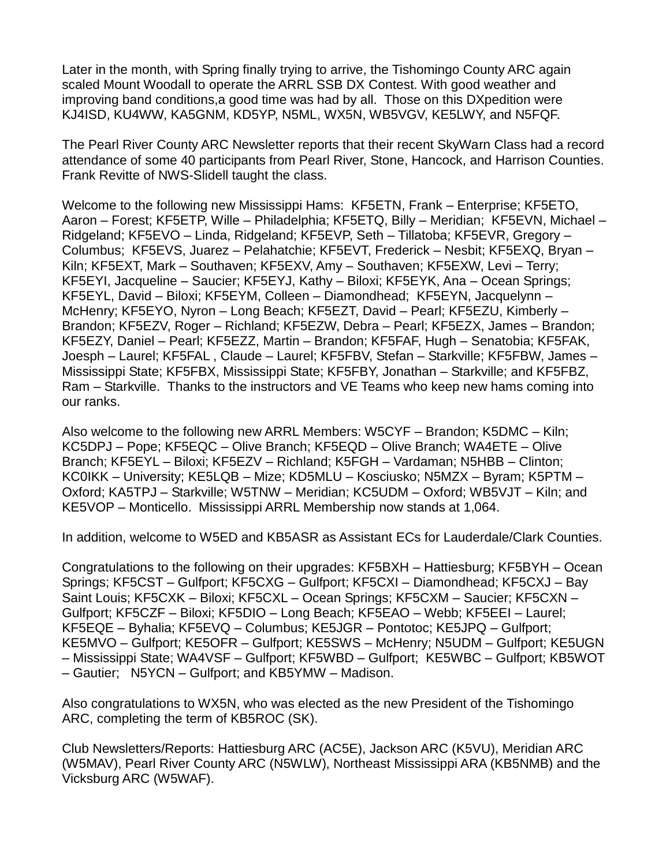Later in the month, with Spring finally trying to arrive, the Tishomingo County ARC again scaled Mount Woodall to operate the ARRL SSB DX Contest. With good weather and improving band conditions,a good time was had by all. Those on this DXpedition were KJ4ISD, KU4WW, KA5GNM, KD5YP, N5ML, WX5N, WB5VGV, KE5LWY, and N5FQF.

The Pearl River County ARC Newsletter reports that their recent SkyWarn Class had a record attendance of some 40 participants from Pearl River, Stone, Hancock, and Harrison Counties. Frank Revitte of NWS-Slidell taught the class.

Welcome to the following new Mississippi Hams: KF5ETN, Frank – Enterprise; KF5ETO, Aaron – Forest; KF5ETP, Wille – Philadelphia; KF5ETQ, Billy – Meridian; KF5EVN, Michael – Ridgeland; KF5EVO – Linda, Ridgeland; KF5EVP, Seth – Tillatoba; KF5EVR, Gregory – Columbus; KF5EVS, Juarez – Pelahatchie; KF5EVT, Frederick – Nesbit; KF5EXQ, Bryan – Kiln; KF5EXT, Mark – Southaven; KF5EXV, Amy – Southaven; KF5EXW, Levi – Terry; KF5EYI, Jacqueline – Saucier; KF5EYJ, Kathy – Biloxi; KF5EYK, Ana – Ocean Springs; KF5EYL, David – Biloxi; KF5EYM, Colleen – Diamondhead; KF5EYN, Jacquelynn – McHenry; KF5EYO, Nyron – Long Beach; KF5EZT, David – Pearl; KF5EZU, Kimberly – Brandon; KF5EZV, Roger – Richland; KF5EZW, Debra – Pearl; KF5EZX, James – Brandon; KF5EZY, Daniel – Pearl; KF5EZZ, Martin – Brandon; KF5FAF, Hugh – Senatobia; KF5FAK, Joesph – Laurel; KF5FAL , Claude – Laurel; KF5FBV, Stefan – Starkville; KF5FBW, James – Mississippi State; KF5FBX, Mississippi State; KF5FBY, Jonathan – Starkville; and KF5FBZ, Ram – Starkville. Thanks to the instructors and VE Teams who keep new hams coming into our ranks.

Also welcome to the following new ARRL Members: W5CYF – Brandon; K5DMC – Kiln; KC5DPJ – Pope; KF5EQC – Olive Branch; KF5EQD – Olive Branch; WA4ETE – Olive Branch; KF5EYL – Biloxi; KF5EZV – Richland; K5FGH – Vardaman; N5HBB – Clinton; KC0IKK – University; KE5LQB – Mize; KD5MLU – Kosciusko; N5MZX – Byram; K5PTM – Oxford; KA5TPJ – Starkville; W5TNW – Meridian; KC5UDM – Oxford; WB5VJT – Kiln; and KE5VOP – Monticello. Mississippi ARRL Membership now stands at 1,064.

In addition, welcome to W5ED and KB5ASR as Assistant ECs for Lauderdale/Clark Counties.

Congratulations to the following on their upgrades: KF5BXH – Hattiesburg; KF5BYH – Ocean Springs; KF5CST – Gulfport; KF5CXG – Gulfport; KF5CXI – Diamondhead; KF5CXJ – Bay Saint Louis; KF5CXK – Biloxi; KF5CXL – Ocean Springs; KF5CXM – Saucier; KF5CXN – Gulfport; KF5CZF – Biloxi; KF5DIO – Long Beach; KF5EAO – Webb; KF5EEI – Laurel; KF5EQE – Byhalia; KF5EVQ – Columbus; KE5JGR – Pontotoc; KE5JPQ – Gulfport; KE5MVO – Gulfport; KE5OFR – Gulfport; KE5SWS – McHenry; N5UDM – Gulfport; KE5UGN – Mississippi State; WA4VSF – Gulfport; KF5WBD – Gulfport; KE5WBC – Gulfport; KB5WOT – Gautier; N5YCN – Gulfport; and KB5YMW – Madison.

Also congratulations to WX5N, who was elected as the new President of the Tishomingo ARC, completing the term of KB5ROC (SK).

Club Newsletters/Reports: Hattiesburg ARC (AC5E), Jackson ARC (K5VU), Meridian ARC (W5MAV), Pearl River County ARC (N5WLW), Northeast Mississippi ARA (KB5NMB) and the Vicksburg ARC (W5WAF).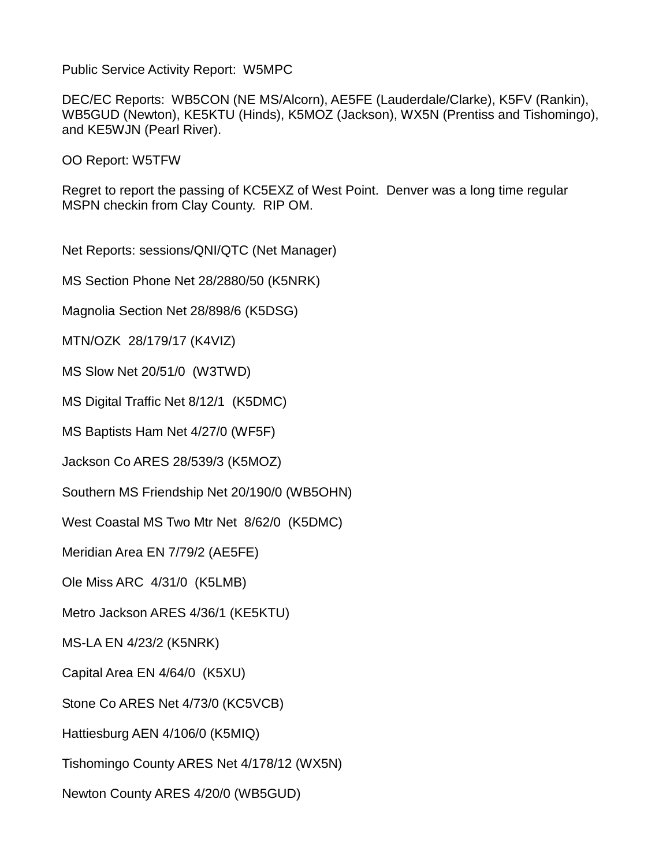Public Service Activity Report: W5MPC

DEC/EC Reports: WB5CON (NE MS/Alcorn), AE5FE (Lauderdale/Clarke), K5FV (Rankin), WB5GUD (Newton), KE5KTU (Hinds), K5MOZ (Jackson), WX5N (Prentiss and Tishomingo), and KE5WJN (Pearl River).

OO Report: W5TFW

Regret to report the passing of KC5EXZ of West Point. Denver was a long time regular MSPN checkin from Clay County. RIP OM.

Net Reports: sessions/QNI/QTC (Net Manager)

MS Section Phone Net 28/2880/50 (K5NRK)

Magnolia Section Net 28/898/6 (K5DSG)

MTN/OZK 28/179/17 (K4VIZ)

MS Slow Net 20/51/0 (W3TWD)

MS Digital Traffic Net 8/12/1 (K5DMC)

MS Baptists Ham Net 4/27/0 (WF5F)

Jackson Co ARES 28/539/3 (K5MOZ)

Southern MS Friendship Net 20/190/0 (WB5OHN)

West Coastal MS Two Mtr Net 8/62/0 (K5DMC)

Meridian Area EN 7/79/2 (AE5FE)

Ole Miss ARC 4/31/0 (K5LMB)

Metro Jackson ARES 4/36/1 (KE5KTU)

MS-LA EN 4/23/2 (K5NRK)

Capital Area EN 4/64/0 (K5XU)

Stone Co ARES Net 4/73/0 (KC5VCB)

Hattiesburg AEN 4/106/0 (K5MIQ)

Tishomingo County ARES Net 4/178/12 (WX5N)

Newton County ARES 4/20/0 (WB5GUD)